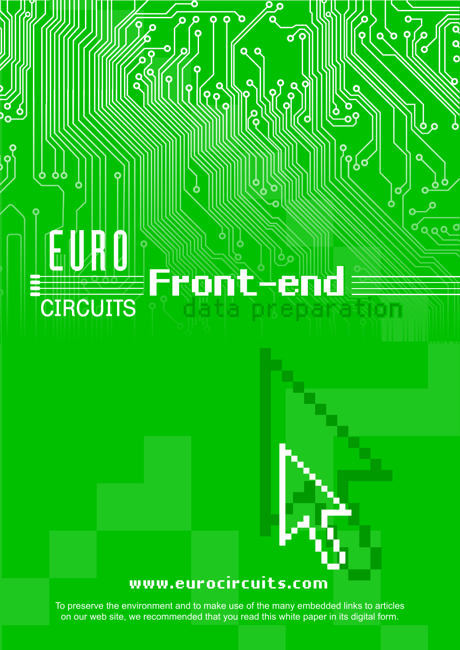# **Front-end CIRCUITS** data preparation

 $\overline{\mathsf{q}}$ 

 $\mathbf Q$ 

<u>99</u>

 $\bigg\{ \begin{matrix} \mathsf{Q} \ \mathsf{Q} \ \mathsf{Q} \end{matrix}$ 

 $\bullet$ 

 $\overline{\mathbf{o}}$ 

 $\overline{O}$ 

Ò

 $\mathbf \Omega$ 

Ō

 $\mathbf Q$  $\mathbf{\mathbf{b}}$ 

 $Q$ 

 $\overline{\mathbf{Q}}$ 

O<br>O

9

Q

ू<br>२

 $\int_{0}^{1}$ 

 $\overline{\sigma}$ 

 $\overline{\mathbf{C}}$ 

 $\overline{a}$ 

ÌО

## **[www.eurocircuits.com](http://www.eurocircuits.com)**

To preserve the environment and to make use of the many embedded links to articles on our web site, we recommended that you read this white paper in its digital form.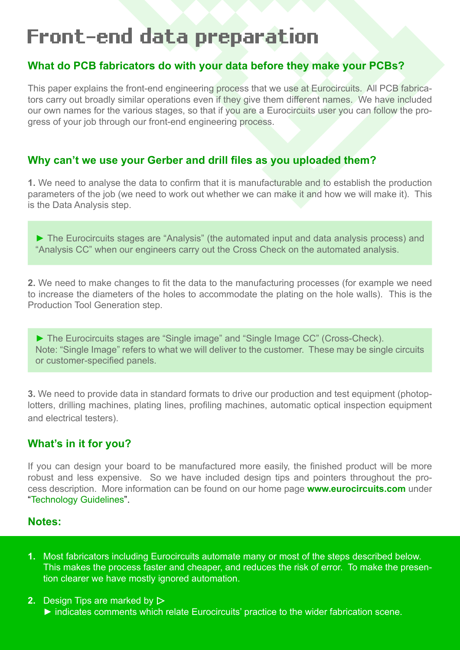## **Front-end data preparation**

## **What do PCB fabricators do with your data before they make your PCBs?**

This paper explains the front-end engineering process that we use at Eurocircuits. All PCB fabricators carry out broadly similar operations even if they give them different names. We have included our own names for the various stages, so that if you are a Eurocircuits user you can follow the progress of your job through our front-end engineering process.

## **Why can't we use your Gerber and drill files as you uploaded them?**

**1.** We need to analyse the data to confirm that it is manufacturable and to establish the production parameters of the job (we need to work out whether we can make it and how we will make it). This is the Data Analysis step.

► The Eurocircuits stages are "Analysis" (the automated input and data analysis process) and "Analysis CC" when our engineers carry out the Cross Check on the automated analysis.

**2.** We need to make changes to fit the data to the manufacturing processes (for example we need to increase the diameters of the holes to accommodate the plating on the hole walls). This is the Production Tool Generation step.

► The Eurocircuits stages are "Single image" and "Single Image CC" (Cross-Check). Note: "Single Image" refers to what we will deliver to the customer. These may be single circuits or customer-specified panels.

**3.** We need to provide data in standard formats to drive our production and test equipment (photoplotters, drilling machines, plating lines, profiling machines, automatic optical inspection equipment and electrical testers).

## **What's in it for you?**

If you can design your board to be manufactured more easily, the finished product will be more robust and less expensive. So we have included design tips and pointers throughout the process description. More information can be found on our home page **[www.eurocircuits.com](http://www.eurocircuits.com)** under "[Technology Guidelines"](http://www.eurocircuits.com/index.php/technology-guidelines/pcb-layout-data).

## **Notes:**

- **1.** Most fabricators including Eurocircuits automate many or most of the steps described below. This makes the process faster and cheaper, and reduces the risk of error. To make the presention clearer we have mostly ignored automation.
- **2.** Design Tips are marked by ► indicates comments which relate Eurocircuits' practice to the wider fabrication scene.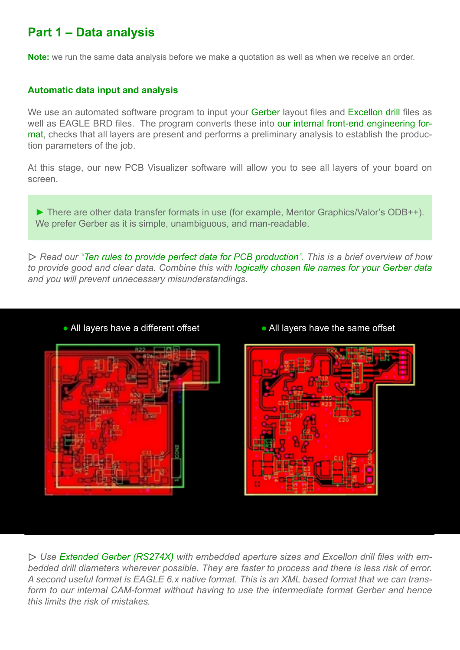## **Part 1 – Data analysis**

**Note:** we run the same data analysis before we make a quotation as well as when we receive an order.

## **Automatic data input and analysis**

We use an automated software program to input your [Gerber](http://www.eurocircuits.com/index.php/technology-guidelines/pcb-layout-data/14-data-formats-rs-274d) layout files and [Excellon drill](http://www.eurocircuits.com/index.php/technology-guidelines/pcb-layout-data/112-drill-formats-excellon-sieb-meyer) files as well as EAGLE BRD files. The program converts these into [our internal front-end engineering for](http://www.eurocircuits.com/index.php/technology-guidelines/pcb-layout-data/110-data-formats-dpf)[mat](http://www.eurocircuits.com/index.php/technology-guidelines/pcb-layout-data/110-data-formats-dpf), checks that all layers are present and performs a preliminary analysis to establish the production parameters of the job.

At this stage, our new PCB Visualizer software will allow you to see all layers of your board on screen.

► There are other data transfer formats in use (for example, Mentor Graphics/Valor's ODB++). We prefer Gerber as it is simple, unambiguous, and man-readable.

*Read our "[Ten rules to provide perfect data for PCB production](http://www.eurocircuits.com/index.php/technology-guidelines/pcb-layout-data/116-ten-rules-to-provide-perfect-data-for-pcb-production)". This is a brief overview of how to provide good and clear data. Combine this with [logically chosen file names for your Gerber data](http://www.eurocircuits.com/index.php/technology-guidelines/pcb-layout-data/115-file-naming-suggestions) and you will prevent unnecessary misunderstandings.*







 *Use [Extended Gerber \(RS274X\)](http://www.eurocircuits.com/index.php/technology-guidelines/pcb-layout-data/111-data-formats-rs-274x) with embedded aperture sizes and Excellon drill files with embedded drill diameters wherever possible. They are faster to process and there is less risk of error. A second useful format is EAGLE 6.x native format. This is an XML based format that we can transform to our internal CAM-format without having to use the intermediate format Gerber and hence this limits the risk of mistakes.*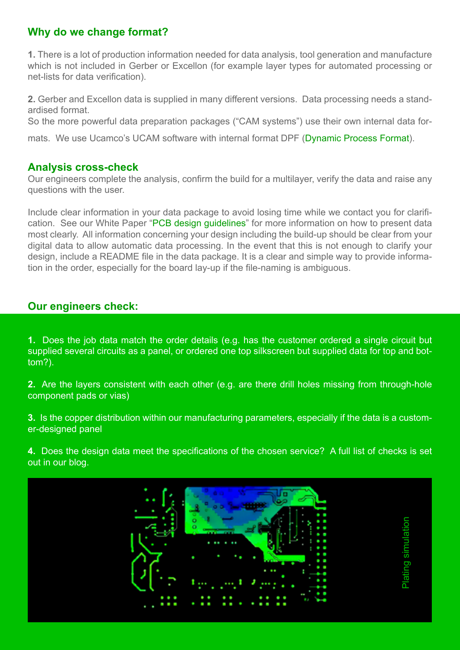## **Why do we change format?**

**1.** There is a lot of production information needed for data analysis, tool generation and manufacture which is not included in Gerber or Excellon (for example layer types for automated processing or net-lists for data verification).

**2.** Gerber and Excellon data is supplied in many different versions. Data processing needs a standardised format.

So the more powerful data preparation packages ("CAM systems") use their own internal data for-

mats. We use Ucamco's UCAM software with internal format DPF ([Dynamic Process Format](http://www.eurocircuits.com/index.php/technology-guidelines/pcb-layout-data/110-data-formats-dpf)).

## **Analysis cross-check**

Our engineers complete the analysis, confirm the build for a multilayer, verify the data and raise any questions with the user.

Include clear information in your data package to avoid losing time while we contact you for clarification. See our White Paper ["PCB design guidelines](http://www.eurocircuits.com/index.php/technology-guidelines/pcb-design-guidelines)" for more information on how to present data most clearly. All information concerning your design including the build-up should be clear from your digital data to allow automatic data processing. In the event that this is not enough to clarify your design, include a README file in the data package. It is a clear and simple way to provide information in the order, especially for the board lay-up if the file-naming is ambiguous.

## **Our engineers check:**

**1.** Does the job data match the order details (e.g. has the customer ordered a single circuit but supplied several circuits as a panel, or ordered one top silkscreen but supplied data for top and bottom?).

**2.** Are the layers consistent with each other (e.g. are there drill holes missing from through-hole component pads or vias)

**3.** Is the copper distribution within our manufacturing parameters, especially if the data is a customer-designed panel

**4.** Does the design data meet the specifications of the chosen service? A full list of checks is set out in our [blog](http://www.eurocircuits.com/index.php/eurocircuits-printed-circuits-blog/eurocircuits-data-preparation-analysis).

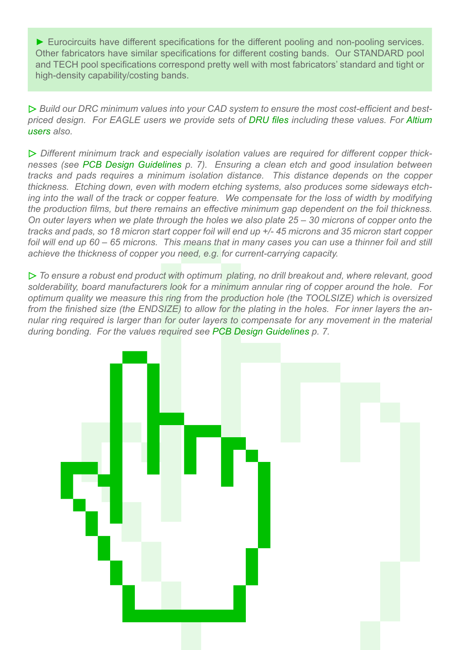► Eurocircuits have different specifications for the different pooling and non-pooling services. Other fabricators have similar specifications for different costing bands. Our STANDARD pool and TECH pool specifications correspond pretty well with most fabricators' standard and tight or high-density capability/costing bands.

 *Build our DRC minimum values into your CAD system to ensure the most cost-efficient and bestpriced design. For EAGLE users we provide sets of [DRU files](http://www.eurocircuits.com/index.php/eagle-dru-files) including these values. For [Altium](http://www.eurocircuits.com/index.php/altium-designer-templates) [users](http://www.eurocircuits.com/index.php/altium-designer-templates) also.*

 *Different minimum track and especially isolation values are required for different copper thicknesses (see [PCB Design Guidelines](http://www.eurocircuits.com/index.php/technology-guidelines/pcb-design-guidelines) p. 7). Ensuring a clean etch and good insulation between tracks and pads requires a minimum isolation distance. This distance depends on the copper thickness. Etching down, even with modern etching systems, also produces some sideways etching into the wall of the track or copper feature. We compensate for the loss of width by modifying the production films, but there remains an effective minimum gap dependent on the foil thickness. On outer layers when we plate through the holes we also plate 25 – 30 microns of copper onto the tracks and pads, so 18 micron start copper foil will end up +/- 45 microns and 35 micron start copper foil will end up 60 – 65 microns. This means that in many cases you can use a thinner foil and still achieve the thickness of copper you need, e.g. for current-carrying capacity.*

 *To ensure a robust end product with optimum plating, no drill breakout and, where relevant, good solderability, board manufacturers look for a minimum annular ring of copper around the hole. For optimum quality we measure this ring from the production hole (the TOOLSIZE) which is oversized from the finished size (the ENDSIZE) to allow for the plating in the holes. For inner layers the annular ring required is larger than for outer layers to compensate for any movement in the material during bonding. For the values required see [PCB Design Guidelines](http://www.eurocircuits.com/index.php/technology-guidelines/pcb-design-guidelines) p. 7.* 

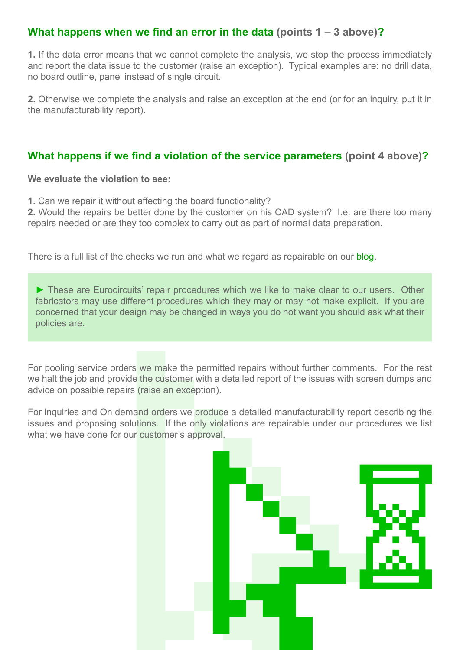## **What happens when we find an error in the data (points 1 – 3 above)?**

**1.** If the data error means that we cannot complete the analysis, we stop the process immediately and report the data issue to the customer (raise an exception). Typical examples are: no drill data, no board outline, panel instead of single circuit.

**2.** Otherwise we complete the analysis and raise an exception at the end (or for an inquiry, put it in the manufacturability report).

## **What happens if we find a violation of the service parameters (point 4 above)?**

**We evaluate the violation to see:**

**1.** Can we repair it without affecting the board functionality?

**2.** Would the repairs be better done by the customer on his CAD system? I.e. are there too many repairs needed or are they too complex to carry out as part of normal data preparation.

There is a full list of the checks we run and what we regard as repairable on our [blog](http://www.eurocircuits.com/index.php/eurocircuits-printed-circuits-blog/eurocircuits-data-preparation-analysis).

► These are Eurocircuits' repair procedures which we like to make clear to our users. Other fabricators may use different procedures which they may or may not make explicit. If you are concerned that your design may be changed in ways you do not want you should ask what their policies are.

For pooling service orders we make the permitted repairs without further comments. For the rest we halt the job and provide the customer with a detailed report of the issues with screen dumps and advice on possible repairs (raise an exception).

For inquiries and On demand orders we produce a detailed manufacturability report describing the issues and proposing solutions. If the only violations are repairable under our procedures we list what we have done for our customer's approval.

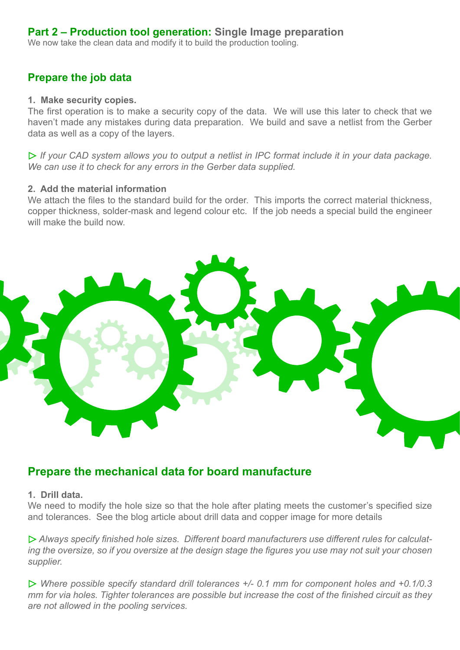## **Part 2 – Production tool generation: Single Image preparation**

We now take the clean data and modify it to build the production tooling.

## **Prepare the job data**

## **1. Make security copies.**

The first operation is to make a security copy of the data. We will use this later to check that we haven't made any mistakes during data preparation. We build and save a netlist from the Gerber data as well as a copy of the layers.

 *If your CAD system allows you to output a netlist in IPC format include it in your data package. We can use it to check for any errors in the Gerber data supplied.*

## **2. Add the material information**

We attach the files to the standard build for the order. This imports the correct material thickness, copper thickness, solder-mask and legend colour etc. If the job needs a special build the engineer will make the build now.



## **Prepare the mechanical data for board manufacture**

## **1. Drill data.**

We need to modify the hole size so that the hole after plating meets the customer's specified size and tolerances. See the blog article about drill data and copper image for more details

 *Always specify finished hole sizes. Different board manufacturers use different rules for calculating the oversize, so if you oversize at the design stage the figures you use may not suit your chosen supplier.*

 *Where possible specify standard drill tolerances +/- 0.1 mm for component holes and +0.1/0.3 mm for via holes. Tighter tolerances are possible but increase the cost of the finished circuit as they are not allowed in the pooling services.*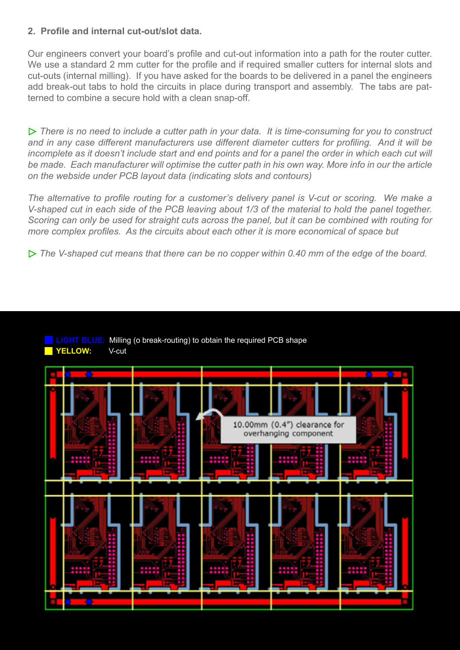## **2. Profile and internal cut-out/slot data.**

Our engineers convert your board's profile and cut-out information into a path for the router cutter. We use a standard 2 mm cutter for the profile and if required smaller cutters for internal slots and cut-outs (internal milling). If you have asked for the boards to be delivered in a panel the engineers add break-out tabs to hold the circuits in place during transport and assembly. The tabs are patterned to combine a secure hold with a clean snap-off.

*There is no need to include a cutter path in your data. It is time-consuming for you to construct and in any case different manufacturers use different diameter cutters for profiling. And it will be incomplete as it doesn't include start and end points and for a panel the order in which each cut will be made. Each manufacturer will optimise the cutter path in his own way. More info in our the article on the webside under PCB layout data (indicating slots and contours)*

*The alternative to profile routing for a customer's delivery panel is V-cut or scoring. We make a V-shaped cut in each side of the PCB leaving about 1/3 of the material to hold the panel together. Scoring can only be used for straight cuts across the panel, but it can be combined with routing for more complex profiles. As the circuits about each other it is more economical of space but*

 *The V-shaped cut means that there can be no copper within 0.40 mm of the edge of the board.*

## **LIGHT BLUE:** Milling (o break-routing) to obtain the required PCB shape **YELLOW:** V-cut

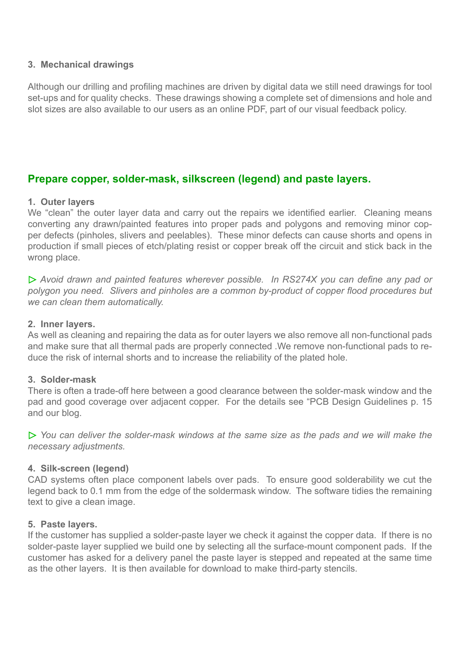## **3. Mechanical drawings**

Although our drilling and profiling machines are driven by digital data we still need drawings for tool set-ups and for quality checks. These drawings showing a complete set of dimensions and hole and slot sizes are also available to our users as an online PDF, part of our visual feedback policy.

## **Prepare copper, solder-mask, silkscreen (legend) and paste layers.**

## **1. Outer layers**

We "clean" the outer layer data and carry out the repairs we identified earlier. Cleaning means converting any drawn/painted features into proper pads and polygons and removing minor copper defects (pinholes, slivers and peelables). These minor defects can cause shorts and opens in production if small pieces of etch/plating resist or copper break off the circuit and stick back in the wrong place.

 *Avoid drawn and painted features wherever possible. In RS274X you can define any pad or polygon you need. Slivers and pinholes are a common by-product of copper flood procedures but we can clean them automatically.*

## **2. Inner layers.**

As well as cleaning and repairing the data as for outer layers we also remove all non-functional pads and make sure that all thermal pads are properly connected .We remove non-functional pads to reduce the risk of internal shorts and to increase the reliability of the plated hole.

## **3. Solder-mask**

There is often a trade-off here between a good clearance between the solder-mask window and the pad and good coverage over adjacent copper. For the details see "PCB Design Guidelines p. 15 and our blog.

 *You can deliver the solder-mask windows at the same size as the pads and we will make the necessary adjustments.*

## **4. Silk-screen (legend)**

CAD systems often place component labels over pads. To ensure good solderability we cut the legend back to 0.1 mm from the edge of the soldermask window. The software tidies the remaining text to give a clean image.

## **5. Paste layers.**

If the customer has supplied a solder-paste layer we check it against the copper data. If there is no solder-paste layer supplied we build one by selecting all the surface-mount component pads. If the customer has asked for a delivery panel the paste layer is stepped and repeated at the same time as the other layers. It is then available for download to make third-party stencils.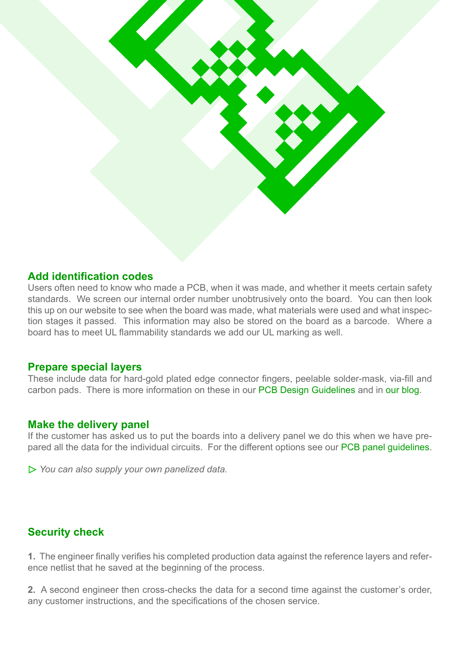

## **Add identification codes**

Users often need to know who made a PCB, when it was made, and whether it meets certain safety standards. We screen our internal order number unobtrusively onto the board. You can then look this up on our website to see when the board was made, what materials were used and what inspection stages it passed. This information may also be stored on the board as a barcode. Where a board has to meet UL flammability standards we add our UL marking as well.

## **Prepare special layers**

These include data for hard-gold plated edge connector fingers, peelable solder-mask, via-fill and carbon pads. There is more information on these in our [PCB Design Guidelines](http://www.eurocircuits.com/index.php/technology-guidelines/pcb-design-guidelines) and in [our blog.](http://www.eurocircuits.com/index.php/eurocircuits-printed-circuits-blog/eurocircuits-data-preparation-single-image-part-ii-other-layers-and-outputs)

## **Make the delivery panel**

If the customer has asked us to put the boards into a delivery panel we do this when we have prepared all the data for the individual circuits. For the different options see our [PCB panel guidelines.](http://www.eurocircuits.com/index.php/technology-guidelines/pcb-design-guidelines)

 *You can also supply your own panelized data.* 

## **Security check**

**1.** The engineer finally verifies his completed production data against the reference layers and reference netlist that he saved at the beginning of the process.

**2.** A second engineer then cross-checks the data for a second time against the customer's order, any customer instructions, and the specifications of the chosen service.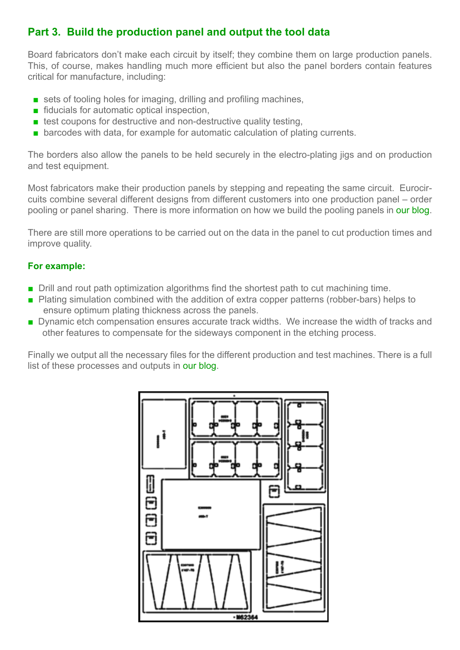## **Part 3. Build the production panel and output the tool data**

Board fabricators don't make each circuit by itself; they combine them on large production panels. This, of course, makes handling much more efficient but also the panel borders contain features critical for manufacture, including:

- sets of tooling holes for imaging, drilling and profiling machines,
- fiducials for automatic optical inspection,
- $\blacksquare$  test coupons for destructive and non-destructive quality testing,
- barcodes with data, for example for automatic calculation of plating currents.

The borders also allow the panels to be held securely in the electro-plating jigs and on production and test equipment.

Most fabricators make their production panels by stepping and repeating the same circuit. Eurocircuits combine several different designs from different customers into one production panel – order pooling or panel sharing. There is more information on how we build the pooling panels in [our blog.](http://www.eurocircuits.com/index.php/eurocircuits-printed-circuits-blog/eurocircuits-data-preparation-make-production-panels)

There are still more operations to be carried out on the data in the panel to cut production times and improve quality.

## **For example:**

- Drill and rout path optimization algorithms find the shortest path to cut machining time.
- Plating simulation combined with the addition of extra copper patterns (robber-bars) helps to ensure optimum plating thickness across the panels.
- Dynamic etch compensation ensures accurate track widths. We increase the width of tracks and other features to compensate for the sideways component in the etching process.

Finally we output all the necessary files for the different production and test machines. There is a full list of these processes and outputs in [our blog](http://www.eurocircuits.com/index.php/eurocircuits-printed-circuits-blog/eurocircuits-data-preparation-make-production-panels).